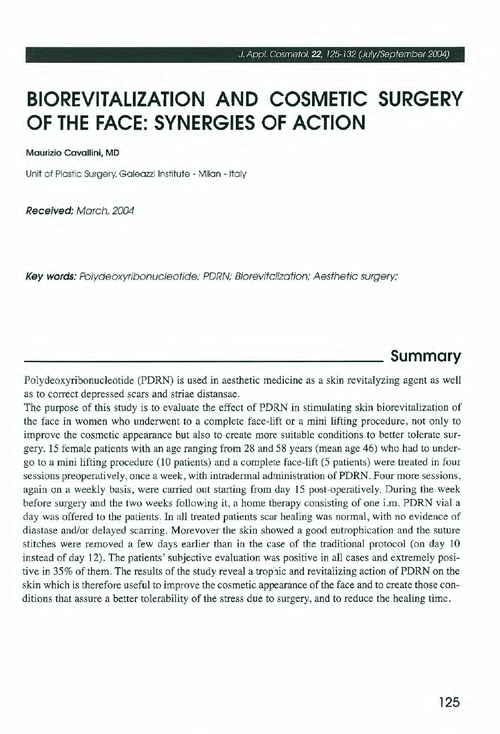# **BIOREVITALIZATION ANO COSMETIC SURGERY OF THE FACE: SYNERGIES OF ACTION**

Maurizio Cavallini, MD

Unit of Plastic Surgery. Galeazzi lnstitute - Milan - ltaly

Received: March, 2004

Key words: Polydeoxyribonucleotide; PDRN; Biorevitalization; Aesthetic surgery;

### **Summary**

Polydeoxyribonucleotide (PDRN) is used in aesthetic medicine as a skin revitalyzing agent as well as to correct depressed scars and striae distansae.

The purpose of this study is to evaluate the effect of PDRN in stimulating skin biorevitalization of the face in women who underwent to a complete face-lift or a mini lifting procedure, not only to improve the cosmetic appearance but also to create more suitable conditions to better tolerate surgery. 15 female patients with an age ranging from 28 and 58 years (mean age 46) who had to undergo to a mini lifting procedure (10 patients) and a complete face-lift (5 patients) were treated in four sessions preoperatively, once a week, with intradermal administration of PDRN. Four more sessions, again on a weekly basis, were carried out starting from day 15 post-operatively. During the week before surgery and the two weeks following it, a home therapy consisting of one i.m. PDRN vial a day was offered to the patients. In all treated patients scar healing was normai, with no evidence of diastase and/or delayed scarring. Morevover the skin showed a good eutrophication and the suture stitches were removed a few days earlier than in the case of the traditional protocol (on day IO instead of day 12). The patients' subjective evaluation was positive in ali cases and extremely positive in 35% of them. The results of the study reveal a trophic and revitalizing action of PDRN on the skin which is therefore useful to improve the cosmetic appearance ofthe face and to create those conditions that assure a better tolerability of the stress due to surgery, and to reduce the healing time.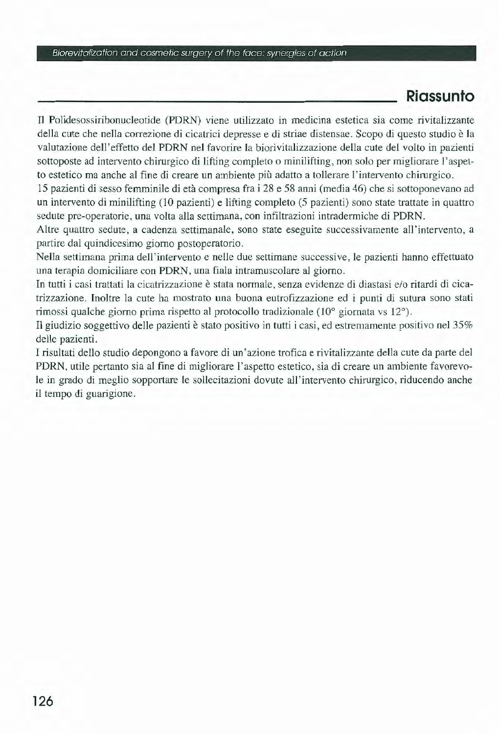#### Biorevitalization and cosmetic surgery of the tace: synergies of action

### **Riassunto**

Il Polidesossiribonucleotide (PDRN) viene utilizzato in medicina estetica sia come rivitalizzante della cute che nella correzione di cicatrici depresse e di striae distensae. Scopo di questo studio è la valutazione dell'effetto del PDRN nel favorire la biorivitalizzazione della cute del volto in pazienti sottoposte ad intervento chirurgico di lifting completo o minilifting, non solo per migliorare l'aspetto estetico ma anche al fine di creare un ambiente più adatto a tollerare l' intervento chirurgico.

15 pazienti di sesso femmjnile di età compresa fra i 28 e 58 anni (media 46) che si sottoponevano ad un intervento di minilifting (10 pazienti) e lifting completo (5 pazienti) sono state trattate in quattro sedute pre-operatorie, una volta alla settimana, con infiltrazioni intradermiche di PDRN.

Altre quattro sedute, a cadenza settimanale, sono state eseguite successivamente all'intervento, a partire dal quindicesimo giorno postoperatorio.

Nella settimana prima dell 'intervento e nelle due settimane successive, le pazienti hanno effettuato una terapia domiciliare con PDRN, una fiala intramuscolare al giorno.

In tutti i casi trattati la cicatrizzazione è stata normale, senza evidenze di diastasi e/o ritardi di cicatri zzazione. Inoltre la cute ha mostrato una buona eutrofizzazione ed i punti di sutura sono stati rimossi qualche giorno prima rispetto al protocollo tradizionale (10° giornata vs 12°).

Il giudizio soggettivo delle pazienti è stato positivo in tutti i casi, ed estremamente positivo nel 35% delle pazienti.

I risultati dello studio depongono a favore di un 'azione trofica e rivitalizzante della cute da parte del PDRN, utile pertanto sia al fine di migliorare l'aspetto estetico, sia di creare un ambiente favorevole in grado di meglio sopportare le sollecitazioni dovute all'intervento chirurgico, riducendo anche il tempo di guarigjone.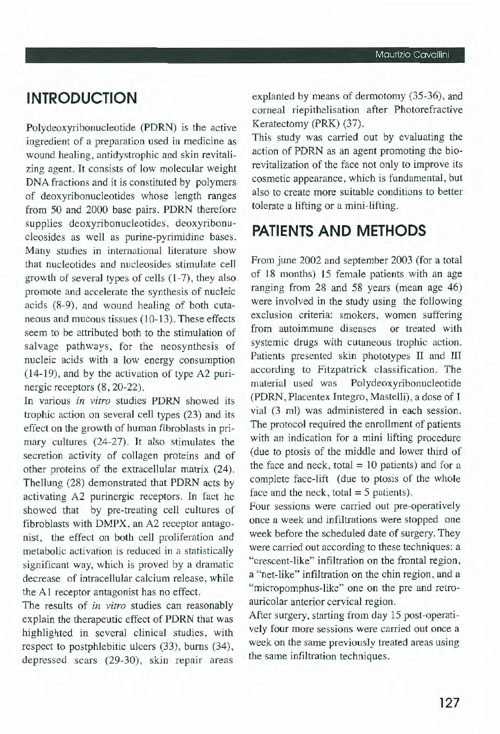# **INTRODUCTION**

Polydeoxyribonucleotide (PDRN) is the active ingredient of a preparation used in medicine as wound healing, antidystrophic and skin revitalizing agent. It consists of low molecular weight DNA fractions and it is constituted by polymers of deoxyribonucleotides whose length ranges from 50 and 2000 base pairs. PDRN therefore supplies deoxyribonucleotides, deoxyribonucleosides as well as purine-pyrimidine bases. Many studies in international literature show that nucleotides and nucleosides stimulate celi growth of several types of cells (1-7), they also promote and accelerate the synthesis of nucleic acids (8-9), and wound healing of both cutaneous and mucous tissues (10-13). These effects seem to be attributed both to the stimulation of salvage pathways, for the neosynthesis of nuc leic acids with a low energy consumption ( 14-19), and by the activation of type A2 purinergic receptors (8, 20-22).

In various *in vitro* studies PDRN showed its trophic action on several cell types (23) and its effect on the growth of human fibroblasts in primary cultures (24-27). It also stimulates the secretion activity of collagen proteins and of other proteins of the extracellular matrix (24). Thellung (28) demonstrated that PDRN acts by activating A2 purinergic receptors. In fact he showed that by pre-treating celi cultures of fibroblasts with DMPX, an A2 receptor antagonist, the effect on both celi proliferation and metabolic activation is reduced in a statistically significant way, which is proved by a dramatic decrease of intracellular calcium release, while the A1 receptor antagonist has no effect.

The results of *in vitro* studies can reasonably explain the therapeutic effect of PDRN that was highlighted in several clinical studies, with respect to postphlebitic ulcers (33), burns (34), depressed scars (29-30), skin repair areas

explanted by means of dermotomy (35-36), and corneal riepithelisation after Photorefractive Keratectomy (PRK) (37).

This study was carried out by evaluating the action of PDRN as an agent promoting the biorevitalization of the face not only to improve its cosmetic appearance, which is fundamental, but also to create more suitable conditions to better tolerate a lifting or a mini-lifting.

### **PATIENTS ANO METHODS**

From june 2002 and september 2003 (for a total of 18 months) 15 female patients with an age ranging from 28 and 58 years (mean age 46) were involved in the study using the following exclusion criteria: smokers, women suffering from autoimmune diseases or treated with systemic drugs with cutaneous trophic action. Patients presented skin phototypes II and III according to Fitzpatrick classification. The materiai used was Polydeoxyribonucleotide (PDRN, Placentex Integro, Mastelli), a dose of I via! (3 ml) was administered in each session. The protocol required the enrollment of patients with an indication for a mini lifting procedure (due to ptosis of the middle and lower third of the face and neck, total  $= 10$  patients) and for a complete face-lift (due to ptosis of the whole face and the neck, total  $=$  5 patients).

Four sessions were carried out pre-operatively once a week and infiltrations were stopped one week before the scheduled date of surgery. They were carried out according to these techniques: a "crescent-like" infiltration on the frontal region, a "net-like" infiltration on the chin region, and a "micropomphus-like" one on the pre and retroauricolar anterior cervical region.

After surgery, starting from day 15 post-operatively four more sessions were carried out once a week on the same previously treated areas using the same infiltration techniques.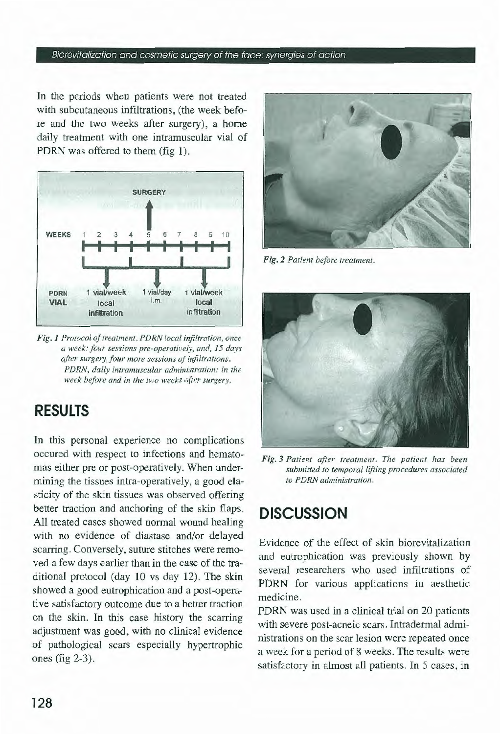#### Biorevitalization and cosmetic surgery of the foce: synergies of action

In the periods when patients were not treated with subcutaneous infiltrations, (the week before and the two weeks after surgery), a home daily treatment with one intramuscular vial of PDRN was offered to them (fig 1).



Fig. 1 Protocol of treatment. PDRN local infiltration, once *a week: four sessions pre-operatively, and, 15 days after surgery, four more sessions of infiltrations. PDRN, daily intramuscular administration: in the week before and in the two weeks after surgery.* 

### **RESULTS**

In this personal experience no complications occured with respect to infections and hematomas either pre or post-operatively. When undermining the tissues intra-operatively, a good elasticity of the skin tissues was observed offering better traction and anchoring of the skin flaps. Ali treated cases showed normai wound healing with no evidence of diastase and/or delayed scarring. Conversely, suture stitches were removed a few days earlier than in the case of the traditional protocol (day IO vs day 12). The skin showed a good eutrophication and a post-operative satisfactory outcome due to a better traction on the skin. In this case history the scarring adjustment was good, with no clinical evidence of pathological scars especially hypertrophic ones (fig 2-3).



 $Fig. 2$  Patient before treatment.



*Fig. 3 Patient after treatment. The patient has been*  submitted to temporal lifting procedures associated *to PDRN administration .* 

## **DISCUSSION**

Evidence of the effect of skin biorevitalization and eutrophication was previously shown by several researchers who used infiltrations of PDRN for various applications in aesthetic medicine.

PDRN was used in a clinical trial on 20 patients with severe post-acneic scars. Intradermal administrations on the scar lesion were repeated once a week for a period of 8 weeks. The results were satisfactory in almost ali patients. In 5 cases, in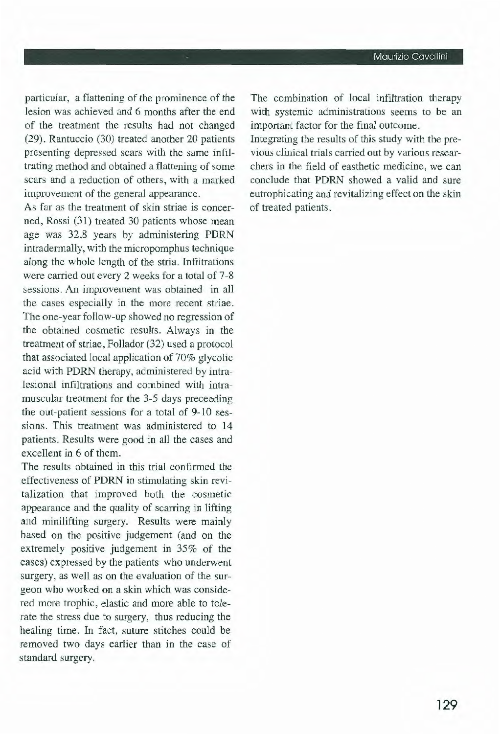particular, a flattening of the prominence of the lesion was achieved and 6 months after the end of the treatment the results had not changed (29). Rantuccio (30) treated another 20 patients presenting depressed scars with the same infiltrating method and obtained a flattening of some scars and a reduction of others, with a marked improvement of the generai appearance.

As far as the treatment of skin striae is concerned, Rossi (31) treated 30 patients whose mean age was 32,8 years by administering PDRN intradermally, with the micropomphus technique along the whole length of the stria. Infiltrations were carried out every 2 weeks for a total of 7-8 sessions. An improvement was obtained in ali the cases especially in the more recent striae. The one-year follow-up showed no regression of the obtained cosmetic results. Always in the treatment of striae, Follador (32) used a protocol that associated locai application of 70% glycolic acid with PDRN therapy, administered by intralesional infiltrations and combined with intramuscular treatment for the 3-5 days preceeding the out-patient sessions for a total of 9-10 sessions. This treatment was administered to 14 patients. Results were good in ali the cases and excellent in 6 of them.

The results obtained in this trial confirmed the effectiveness of PDRN in stimulating skin revitalization that improved both the cosmetic appearance and the quality of scarring in lifting and minilifting surgery. Results were mainly based on the positive judgement (and on the extremely positive judgement in 35% of the cases) expressed by the patients who underwent surgery, as well as on the evaluation of the surgeon who worked on a skin which was considered more trophic, elastic and more able to tolerate the stress due to surgery, thus reducing the healing time. In fact, suture stitches could be removed two days earlier than in the case of standard surgery.

The combination of locai infiltration therapy with systemic administrations seems to be an important factor for the final outcome.

Integrating the results of this study with the previous clinica! trials carried out by various researchers in the field of easthetic medicine, we can conclude that PDRN showed a valid and sure eutrophicating and revitalizing effect on the skin of treated patients.